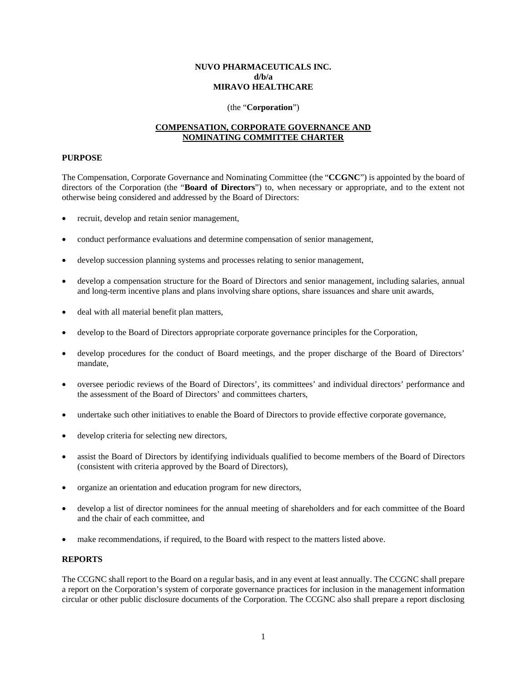### **NUVO PHARMACEUTICALS INC. d/b/a MIRAVO HEALTHCARE**

#### (the "**Corporation**")

### **COMPENSATION, CORPORATE GOVERNANCE AND NOMINATING COMMITTEE CHARTER**

### **PURPOSE**

The Compensation, Corporate Governance and Nominating Committee (the "**CCGNC**") is appointed by the board of directors of the Corporation (the "**Board of Directors**") to, when necessary or appropriate, and to the extent not otherwise being considered and addressed by the Board of Directors:

- recruit, develop and retain senior management,
- conduct performance evaluations and determine compensation of senior management,
- develop succession planning systems and processes relating to senior management,
- develop a compensation structure for the Board of Directors and senior management, including salaries, annual and long-term incentive plans and plans involving share options, share issuances and share unit awards,
- deal with all material benefit plan matters,
- develop to the Board of Directors appropriate corporate governance principles for the Corporation,
- develop procedures for the conduct of Board meetings, and the proper discharge of the Board of Directors' mandate,
- oversee periodic reviews of the Board of Directors', its committees' and individual directors' performance and the assessment of the Board of Directors' and committees charters,
- undertake such other initiatives to enable the Board of Directors to provide effective corporate governance,
- develop criteria for selecting new directors,
- assist the Board of Directors by identifying individuals qualified to become members of the Board of Directors (consistent with criteria approved by the Board of Directors),
- organize an orientation and education program for new directors,
- develop a list of director nominees for the annual meeting of shareholders and for each committee of the Board and the chair of each committee, and
- make recommendations, if required, to the Board with respect to the matters listed above.

#### **REPORTS**

The CCGNC shall report to the Board on a regular basis, and in any event at least annually. The CCGNC shall prepare a report on the Corporation's system of corporate governance practices for inclusion in the management information circular or other public disclosure documents of the Corporation. The CCGNC also shall prepare a report disclosing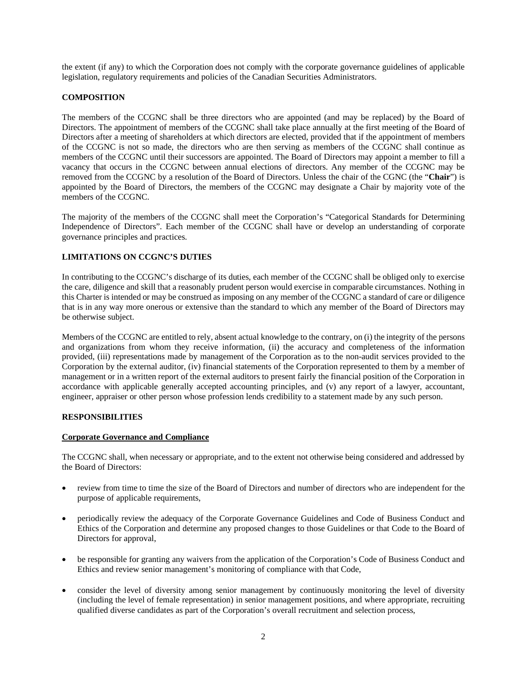the extent (if any) to which the Corporation does not comply with the corporate governance guidelines of applicable legislation, regulatory requirements and policies of the Canadian Securities Administrators.

# **COMPOSITION**

The members of the CCGNC shall be three directors who are appointed (and may be replaced) by the Board of Directors. The appointment of members of the CCGNC shall take place annually at the first meeting of the Board of Directors after a meeting of shareholders at which directors are elected, provided that if the appointment of members of the CCGNC is not so made, the directors who are then serving as members of the CCGNC shall continue as members of the CCGNC until their successors are appointed. The Board of Directors may appoint a member to fill a vacancy that occurs in the CCGNC between annual elections of directors. Any member of the CCGNC may be removed from the CCGNC by a resolution of the Board of Directors. Unless the chair of the CGNC (the "**Chair**") is appointed by the Board of Directors, the members of the CCGNC may designate a Chair by majority vote of the members of the CCGNC.

The majority of the members of the CCGNC shall meet the Corporation's "Categorical Standards for Determining Independence of Directors". Each member of the CCGNC shall have or develop an understanding of corporate governance principles and practices.

# **LIMITATIONS ON CCGNC'S DUTIES**

In contributing to the CCGNC's discharge of its duties, each member of the CCGNC shall be obliged only to exercise the care, diligence and skill that a reasonably prudent person would exercise in comparable circumstances. Nothing in this Charter is intended or may be construed as imposing on any member of the CCGNC a standard of care or diligence that is in any way more onerous or extensive than the standard to which any member of the Board of Directors may be otherwise subject.

Members of the CCGNC are entitled to rely, absent actual knowledge to the contrary, on (i) the integrity of the persons and organizations from whom they receive information, (ii) the accuracy and completeness of the information provided, (iii) representations made by management of the Corporation as to the non-audit services provided to the Corporation by the external auditor, (iv) financial statements of the Corporation represented to them by a member of management or in a written report of the external auditors to present fairly the financial position of the Corporation in accordance with applicable generally accepted accounting principles, and (v) any report of a lawyer, accountant, engineer, appraiser or other person whose profession lends credibility to a statement made by any such person.

# **RESPONSIBILITIES**

#### **Corporate Governance and Compliance**

The CCGNC shall, when necessary or appropriate, and to the extent not otherwise being considered and addressed by the Board of Directors:

- review from time to time the size of the Board of Directors and number of directors who are independent for the purpose of applicable requirements,
- periodically review the adequacy of the Corporate Governance Guidelines and Code of Business Conduct and Ethics of the Corporation and determine any proposed changes to those Guidelines or that Code to the Board of Directors for approval,
- be responsible for granting any waivers from the application of the Corporation's Code of Business Conduct and Ethics and review senior management's monitoring of compliance with that Code,
- consider the level of diversity among senior management by continuously monitoring the level of diversity (including the level of female representation) in senior management positions, and where appropriate, recruiting qualified diverse candidates as part of the Corporation's overall recruitment and selection process,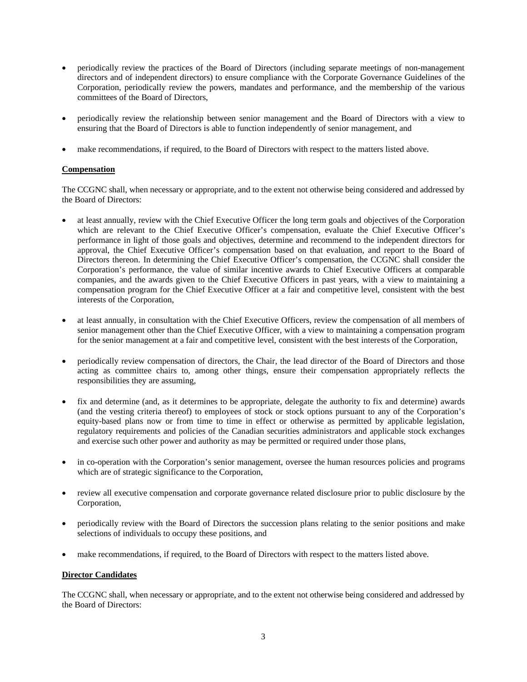- periodically review the practices of the Board of Directors (including separate meetings of non-management directors and of independent directors) to ensure compliance with the Corporate Governance Guidelines of the Corporation, periodically review the powers, mandates and performance, and the membership of the various committees of the Board of Directors,
- periodically review the relationship between senior management and the Board of Directors with a view to ensuring that the Board of Directors is able to function independently of senior management, and
- make recommendations, if required, to the Board of Directors with respect to the matters listed above.

### **Compensation**

The CCGNC shall, when necessary or appropriate, and to the extent not otherwise being considered and addressed by the Board of Directors:

- at least annually, review with the Chief Executive Officer the long term goals and objectives of the Corporation which are relevant to the Chief Executive Officer's compensation, evaluate the Chief Executive Officer's performance in light of those goals and objectives, determine and recommend to the independent directors for approval, the Chief Executive Officer's compensation based on that evaluation, and report to the Board of Directors thereon. In determining the Chief Executive Officer's compensation, the CCGNC shall consider the Corporation's performance, the value of similar incentive awards to Chief Executive Officers at comparable companies, and the awards given to the Chief Executive Officers in past years, with a view to maintaining a compensation program for the Chief Executive Officer at a fair and competitive level, consistent with the best interests of the Corporation,
- at least annually, in consultation with the Chief Executive Officers, review the compensation of all members of senior management other than the Chief Executive Officer, with a view to maintaining a compensation program for the senior management at a fair and competitive level, consistent with the best interests of the Corporation,
- periodically review compensation of directors, the Chair, the lead director of the Board of Directors and those acting as committee chairs to, among other things, ensure their compensation appropriately reflects the responsibilities they are assuming,
- fix and determine (and, as it determines to be appropriate, delegate the authority to fix and determine) awards (and the vesting criteria thereof) to employees of stock or stock options pursuant to any of the Corporation's equity-based plans now or from time to time in effect or otherwise as permitted by applicable legislation, regulatory requirements and policies of the Canadian securities administrators and applicable stock exchanges and exercise such other power and authority as may be permitted or required under those plans,
- in co-operation with the Corporation's senior management, oversee the human resources policies and programs which are of strategic significance to the Corporation,
- review all executive compensation and corporate governance related disclosure prior to public disclosure by the Corporation,
- periodically review with the Board of Directors the succession plans relating to the senior positions and make selections of individuals to occupy these positions, and
- make recommendations, if required, to the Board of Directors with respect to the matters listed above.

# **Director Candidates**

The CCGNC shall, when necessary or appropriate, and to the extent not otherwise being considered and addressed by the Board of Directors: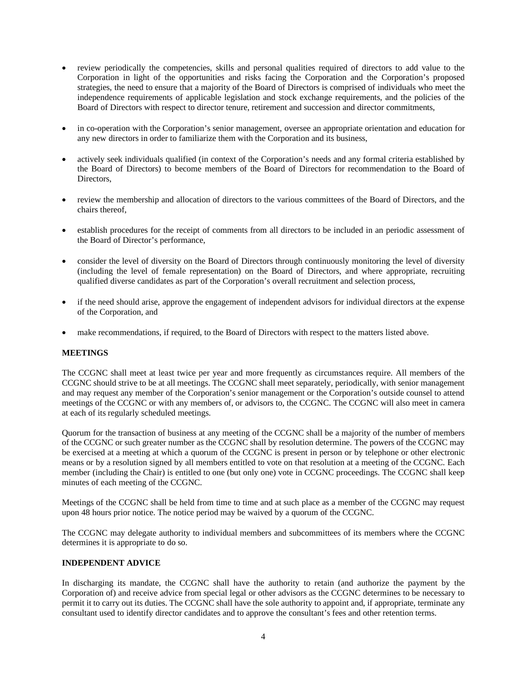- review periodically the competencies, skills and personal qualities required of directors to add value to the Corporation in light of the opportunities and risks facing the Corporation and the Corporation's proposed strategies, the need to ensure that a majority of the Board of Directors is comprised of individuals who meet the independence requirements of applicable legislation and stock exchange requirements, and the policies of the Board of Directors with respect to director tenure, retirement and succession and director commitments,
- in co-operation with the Corporation's senior management, oversee an appropriate orientation and education for any new directors in order to familiarize them with the Corporation and its business,
- actively seek individuals qualified (in context of the Corporation's needs and any formal criteria established by the Board of Directors) to become members of the Board of Directors for recommendation to the Board of **Directors**
- review the membership and allocation of directors to the various committees of the Board of Directors, and the chairs thereof,
- establish procedures for the receipt of comments from all directors to be included in an periodic assessment of the Board of Director's performance,
- consider the level of diversity on the Board of Directors through continuously monitoring the level of diversity (including the level of female representation) on the Board of Directors, and where appropriate, recruiting qualified diverse candidates as part of the Corporation's overall recruitment and selection process,
- if the need should arise, approve the engagement of independent advisors for individual directors at the expense of the Corporation, and
- make recommendations, if required, to the Board of Directors with respect to the matters listed above.

# **MEETINGS**

The CCGNC shall meet at least twice per year and more frequently as circumstances require. All members of the CCGNC should strive to be at all meetings. The CCGNC shall meet separately, periodically, with senior management and may request any member of the Corporation's senior management or the Corporation's outside counsel to attend meetings of the CCGNC or with any members of, or advisors to, the CCGNC. The CCGNC will also meet in camera at each of its regularly scheduled meetings.

Quorum for the transaction of business at any meeting of the CCGNC shall be a majority of the number of members of the CCGNC or such greater number as the CCGNC shall by resolution determine. The powers of the CCGNC may be exercised at a meeting at which a quorum of the CCGNC is present in person or by telephone or other electronic means or by a resolution signed by all members entitled to vote on that resolution at a meeting of the CCGNC. Each member (including the Chair) is entitled to one (but only one) vote in CCGNC proceedings. The CCGNC shall keep minutes of each meeting of the CCGNC.

Meetings of the CCGNC shall be held from time to time and at such place as a member of the CCGNC may request upon 48 hours prior notice. The notice period may be waived by a quorum of the CCGNC.

The CCGNC may delegate authority to individual members and subcommittees of its members where the CCGNC determines it is appropriate to do so.

### **INDEPENDENT ADVICE**

In discharging its mandate, the CCGNC shall have the authority to retain (and authorize the payment by the Corporation of) and receive advice from special legal or other advisors as the CCGNC determines to be necessary to permit it to carry out its duties. The CCGNC shall have the sole authority to appoint and, if appropriate, terminate any consultant used to identify director candidates and to approve the consultant's fees and other retention terms.